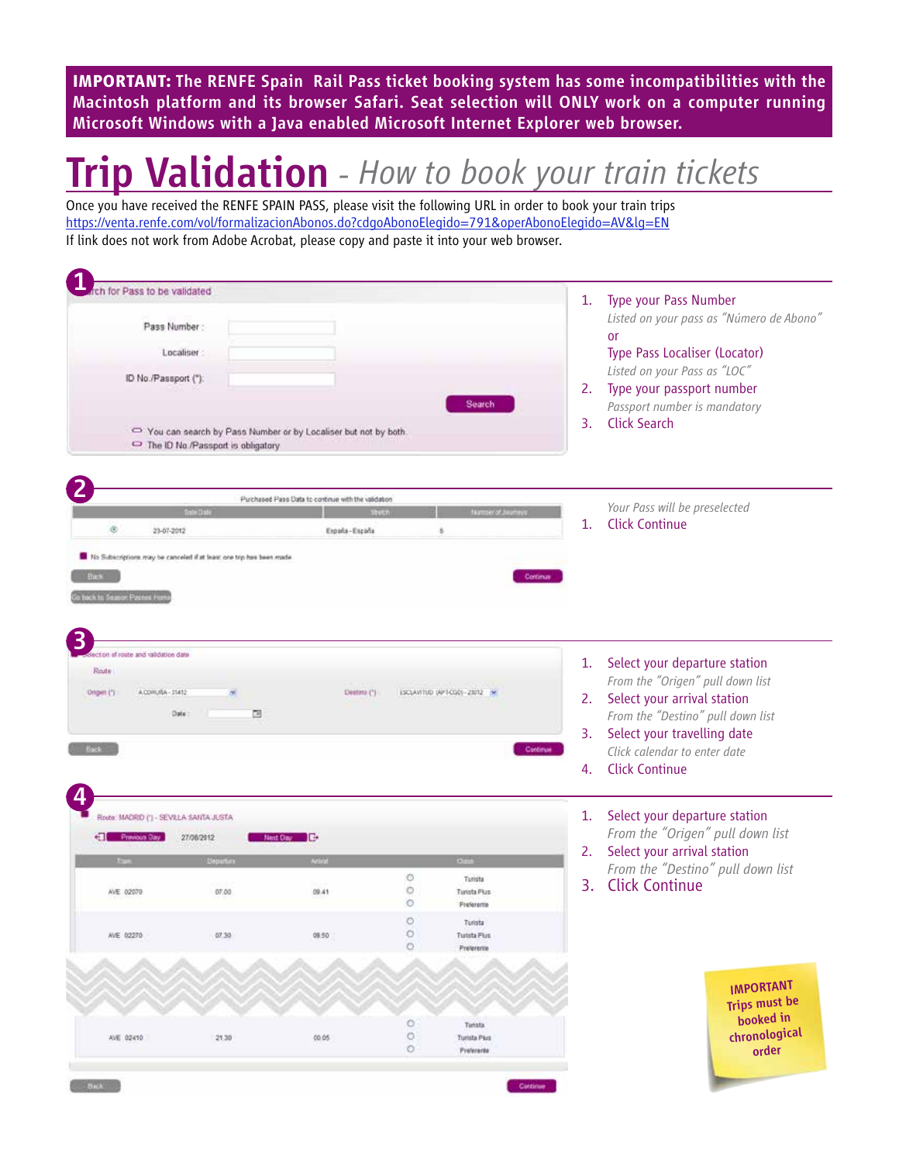**IMPORTANT:** The RENFE Spain Rail Pass ticket booking system has some incompatibilities with the Macintosh platform and its browser Safari. Seat selection will ONLY work on a computer running Microsoft Windows with a Java enabled Microsoft Internet Explorer web browser.

# Trip Validation *- How to book your train tickets*

Once you have received the RENFE SPAIN PASS, please visit the following URL in order to book your train trips https://venta.renfe.com/vol/formalizacionAbonos.do?cdgoAbonoElegido=791&operAbonoElegido=AV&lg=EN If link does not work from Adobe Acrobat, please copy and paste it into your web browser.

| Pass to be validated                                                |                                   |                                                                |                   |                                   | 1.       | Type your Pass Number                                           |  |  |
|---------------------------------------------------------------------|-----------------------------------|----------------------------------------------------------------|-------------------|-----------------------------------|----------|-----------------------------------------------------------------|--|--|
|                                                                     |                                   |                                                                |                   |                                   |          | Listed on your pass as "Número de Abono"                        |  |  |
| Pass Number:                                                        |                                   |                                                                |                   |                                   |          | <b>or</b>                                                       |  |  |
| Localiser                                                           |                                   |                                                                |                   |                                   |          | Type Pass Localiser (Locator)                                   |  |  |
| ID No./Passport (*):                                                |                                   |                                                                |                   |                                   |          | Listed on your Pass as "LOC"                                    |  |  |
|                                                                     |                                   |                                                                |                   |                                   |          | 2. Type your passport number                                    |  |  |
|                                                                     |                                   |                                                                |                   | Search                            |          | Passport number is mandatory                                    |  |  |
|                                                                     |                                   | You can search by Pass Number or by Localiser but not by both. |                   |                                   | 3.       | <b>Click Search</b>                                             |  |  |
|                                                                     | The ID No./Passport is obligatory |                                                                |                   |                                   |          |                                                                 |  |  |
|                                                                     |                                   |                                                                |                   |                                   |          |                                                                 |  |  |
|                                                                     |                                   |                                                                |                   |                                   |          |                                                                 |  |  |
|                                                                     |                                   | Purchased Pass Data to continue with the validation            |                   |                                   |          | Your Pass will be preselected                                   |  |  |
| ®                                                                   |                                   |                                                                |                   |                                   | 1.       | <b>Click Continue</b>                                           |  |  |
| 23-67-2012                                                          |                                   | España - Escaña                                                |                   | ×                                 |          |                                                                 |  |  |
| No Subscriptions may be carseled if at least one trip has been made |                                   |                                                                |                   |                                   |          |                                                                 |  |  |
| <b>Bask</b>                                                         |                                   |                                                                |                   |                                   | Continue |                                                                 |  |  |
|                                                                     |                                   |                                                                |                   |                                   |          |                                                                 |  |  |
| hack to Season Pasees Forn                                          |                                   |                                                                |                   |                                   |          |                                                                 |  |  |
|                                                                     |                                   |                                                                |                   |                                   |          |                                                                 |  |  |
|                                                                     |                                   |                                                                |                   |                                   |          |                                                                 |  |  |
|                                                                     |                                   |                                                                |                   |                                   |          |                                                                 |  |  |
| ection of roste and raildation date                                 |                                   |                                                                |                   |                                   |          |                                                                 |  |  |
| Route                                                               |                                   |                                                                |                   |                                   | 1.       | Select your departure station                                   |  |  |
|                                                                     |                                   |                                                                |                   |                                   |          | From the "Origen" pull down list                                |  |  |
| Dagen (*)<br>A COVIL/SA - 31412                                     |                                   | Destina (*)                                                    |                   | ESCLAVITUD (APT-CGD) - 23012 : pr |          | 2. Select your arrival station                                  |  |  |
| Date                                                                | 国                                 |                                                                |                   |                                   |          | From the "Destino" pull down list                               |  |  |
|                                                                     |                                   |                                                                |                   |                                   | 3.       | Select your travelling date                                     |  |  |
| <b>Back</b>                                                         |                                   |                                                                |                   |                                   | Continue | Click calendar to enter date                                    |  |  |
|                                                                     |                                   |                                                                |                   |                                   | 4.       | <b>Click Continue</b>                                           |  |  |
|                                                                     |                                   |                                                                |                   |                                   |          |                                                                 |  |  |
| Route: MADRID (*) - SEVILLA SANTA JUSTA                             |                                   |                                                                |                   |                                   | 1.       |                                                                 |  |  |
|                                                                     |                                   |                                                                |                   |                                   |          | Select your departure station                                   |  |  |
| Cal Previous Bay                                                    | 27/06/2012                        | æ<br>Next Day                                                  |                   |                                   | 2.       | From the "Origen" pull down list<br>Select your arrival station |  |  |
|                                                                     | Departure                         | <b>And</b>                                                     |                   | <b>COLLE</b>                      |          |                                                                 |  |  |
|                                                                     |                                   |                                                                | ۰                 | Turista                           | 3.       | From the "Destino" pull down list<br><b>Click Continue</b>      |  |  |
| AVE 02070                                                           | 07.00                             | 09.41                                                          | O<br>٥            | <b>Turista Plus</b><br>Preference |          |                                                                 |  |  |
|                                                                     |                                   |                                                                | o                 | Turista                           |          |                                                                 |  |  |
| WE 02270                                                            | 07,30                             | 09:50                                                          | $\circ$           | <b>Turista Plus</b>               |          |                                                                 |  |  |
|                                                                     |                                   |                                                                | ö                 | Proterente                        |          |                                                                 |  |  |
|                                                                     |                                   |                                                                |                   |                                   |          |                                                                 |  |  |
|                                                                     |                                   |                                                                |                   |                                   |          |                                                                 |  |  |
|                                                                     |                                   |                                                                |                   |                                   |          | <b>IMPORTANT</b>                                                |  |  |
|                                                                     |                                   |                                                                |                   |                                   |          | <b>Trips must be</b><br>booked in                               |  |  |
| AVE 02410                                                           | 21.30                             | 00.05                                                          | O<br>$\circ$<br>O | Tunsta<br><b>Turista Plus</b>     |          | chronological<br>order                                          |  |  |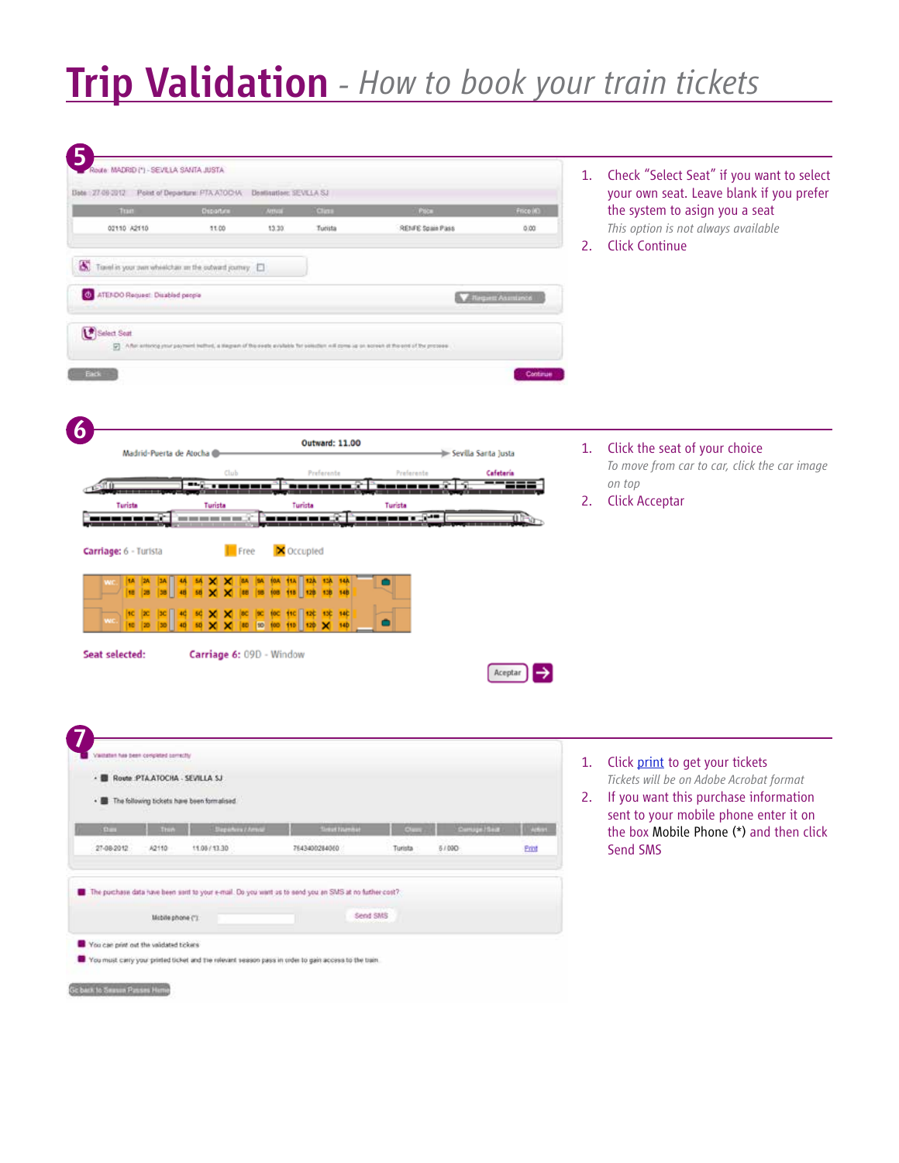# Trip Validation *- How to book your train tickets*

| HAR MADRID (*) - SEVILLA SANTA JUSTA                                                                                                                                                  | Check "Select Seat" if you want to select<br>1.                                   |
|---------------------------------------------------------------------------------------------------------------------------------------------------------------------------------------|-----------------------------------------------------------------------------------|
| Date: 27-09-2012 Point of Departure: PTA ATOCHA Deathratton: SEVILLA SJ                                                                                                               | your own seat. Leave blank if you prefer                                          |
| Ospartine<br>Clini<br><b>DOCT</b><br><b>EDITE</b>                                                                                                                                     | the system to asign you a seat<br>Frice (4)                                       |
| 02110 A2110<br>11.00<br>13.30<br>Turista<br>RENFE Spain Pass                                                                                                                          | This option is not always available<br>0.00<br><b>Click Continue</b><br>2.        |
| Turel is your own whistchar m the subwed journey.                                                                                                                                     |                                                                                   |
| <b>O</b> ATENDO Request: Disabled people                                                                                                                                              | <b>V</b> Request Assistance                                                       |
| Select Seat<br>[7] A flat anticong your payment inclined, a stagram of the event available for selection will come up on screen of the entirely processes.                            |                                                                                   |
| <b>Eack</b>                                                                                                                                                                           | Continue                                                                          |
| <b>Outward: 11.00</b>                                                                                                                                                                 | Click the seat of your choice<br>1.                                               |
| Madrid-Puerta de Atocha                                                                                                                                                               | Sevilla Santa Justa<br>To move from car to car, click the car image               |
| Preferente<br>Preferente<br>Clul<br>`********```********<br>ñ Oc                                                                                                                      | Cafetería<br>on top                                                               |
| Turista<br>Turista<br>Turista<br>Turista                                                                                                                                              | <b>Click Acceptar</b><br>2.                                                       |
| Coccupied<br>Free<br>84 84 104 114 124 134 144<br><b>58 X</b><br>×<br>88 88 108 118 128 138 148<br>(8C (9C (9C 11C 12C 13C 14C<br>×                                                   |                                                                                   |
| 80 10 100 110 120 140<br>Carriage 6: 09D - Window                                                                                                                                     | Aceptar                                                                           |
|                                                                                                                                                                                       |                                                                                   |
| witation has been compated correctly                                                                                                                                                  | Click print to get your tickets<br>1.                                             |
|                                                                                                                                                                                       | Tickets will be on Adobe Acrobat format                                           |
| . The following tickets have been formalised.                                                                                                                                         | 2. If you want this purchase information<br>sent to your mobile phone enter it on |
|                                                                                                                                                                                       | the box Mobile Phone (*) and then click<br><b>Lighting</b>                        |
| 27-08-2012<br>A2110<br>11.05/13.30<br>7643400284060<br>Turista<br>5/090                                                                                                               | Send SMS<br><b>Frint</b>                                                          |
| Carriage: 6 - Turista<br>Seat selected:<br>- B Route PTAATOCHA - SEVILLA SJ<br>The purchase data have been sent to your e-mail. Do you want us to send you an SMS at no further cost? |                                                                                   |
| Send SMS<br>Mobile phone (")                                                                                                                                                          |                                                                                   |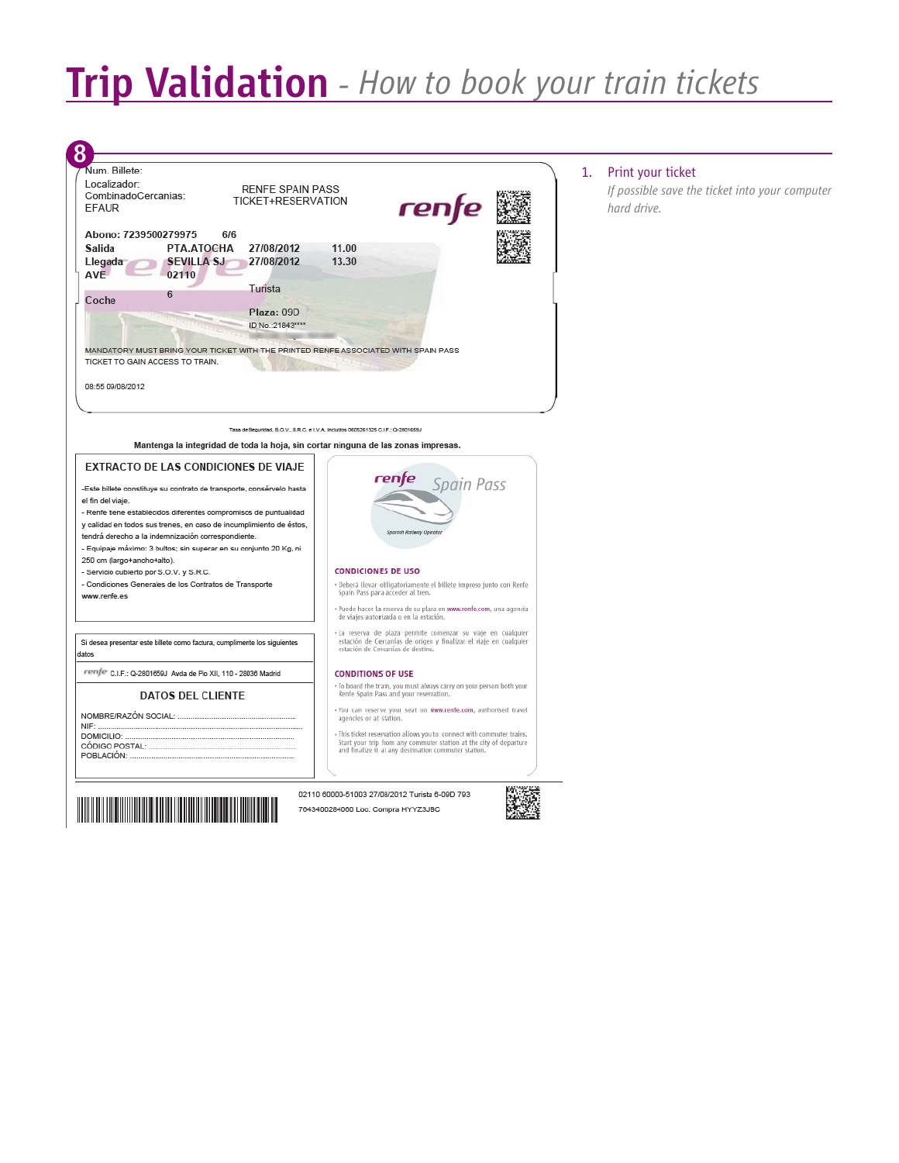# Trip Validation *- How to book your train tickets*

| Num. Billete:<br>Localizador:<br><b>RENFE SPAIN PASS</b><br>CombinadoCercanias:<br>TICKET+RESERVATION<br><b>EFAUR</b>                                                                                                                                                                                                                                                                                                                                                                                                                                                                                                                                 | rente                                                                                                                                                                                                                                                                                                                                                                                                                                                                                                                                                                                                                                                                                                                                     | Print your ticket<br>1.<br>If possible save the ticket into your computer<br>hard drive. |
|-------------------------------------------------------------------------------------------------------------------------------------------------------------------------------------------------------------------------------------------------------------------------------------------------------------------------------------------------------------------------------------------------------------------------------------------------------------------------------------------------------------------------------------------------------------------------------------------------------------------------------------------------------|-------------------------------------------------------------------------------------------------------------------------------------------------------------------------------------------------------------------------------------------------------------------------------------------------------------------------------------------------------------------------------------------------------------------------------------------------------------------------------------------------------------------------------------------------------------------------------------------------------------------------------------------------------------------------------------------------------------------------------------------|------------------------------------------------------------------------------------------|
| Abono: 7239500279975<br>6/6<br>PTA.ATOCHA<br>27/08/2012<br>Salida<br><b>SEVILLA SJ</b><br>27/08/2012<br>Llegada<br><b>AVE</b><br>02110<br>Turista<br>6<br>Coche<br>Plaza: 09D<br>ID No.: 21843****<br>MANDATORY MUST BRING YOUR TICKET WITH THE PRINTED RENFE ASSOCIATED WITH SPAIN PASS<br>TICKET TO GAIN ACCESS TO TRAIN.<br>08:55 09/08/2012                                                                                                                                                                                                                                                                                                       | 11.00<br>13.30                                                                                                                                                                                                                                                                                                                                                                                                                                                                                                                                                                                                                                                                                                                            |                                                                                          |
| Mantenga la integridad de toda la hoja, sin cortar ninguna de las zonas impresas.<br><b>EXTRACTO DE LAS CONDICIONES DE VIAJE</b><br>-Este billete constituye su contrato de transporte, consérvelo hasta<br>el fin del viaje.<br>- Renfe tiene establecidos diferentes compromisos de puntualidad<br>y calidad en todos sus trenes, en caso de incumplimiento de éstos,<br>tendrá derecho a la indemnización correspondiente.<br>- Equipaje máximo: 3 bultos; sin superar en su conjunto 20 Kg, ni<br>250 cm (largo+ancho+alto).<br>- Servicio cubierto por S.O.V. y S.R.C.<br>- Condiciones Generales de los Contratos de Transporte<br>www.renfe.es | Tasa de Seguridad, S.O.V., S.R.C. e I.V.A. Incluidos 0505261325 C.I.F.: Q-2801659J<br>Spain Pass<br>Spanish Railway Operato<br><b>CONDICIONES DE USO</b><br>· Deberá llevar obligatoriamente el billete impreso junto con Renfe<br>Spain Pass para acceder al tren.                                                                                                                                                                                                                                                                                                                                                                                                                                                                       |                                                                                          |
| Si desea presentar este billete como factura, cumplimente los siguientes<br>datos<br>renfe C.I.F.: Q-2801659J Avda de Pio XII. 110 - 28036 Madrid<br><b>DATOS DEL CLIENTE</b>                                                                                                                                                                                                                                                                                                                                                                                                                                                                         | · Puede hacer la reserva de su plaza en www.renfe.com, una agencia<br>de viajes autorizada o en la estación.<br>· La reserva de plaza permite comenzar su viaje en cualquier<br>estación de Cercanías de origen y finalizar el viaje en cualquier<br>estación de Cercanías de destino.<br><b>CONDITIONS OF USE</b><br>. To board the train, you must always carry on your person both your<br>Renfe Spain Pass and your reservation.<br>. You can reserve your seat on www.renfe.com, authorised travel<br>agencies or at station.<br>· This ticket reservation allows you to connect with commuter trains.<br>Start your trip from any commuter station at the city of departure<br>and finalize it at any destination commuter station. |                                                                                          |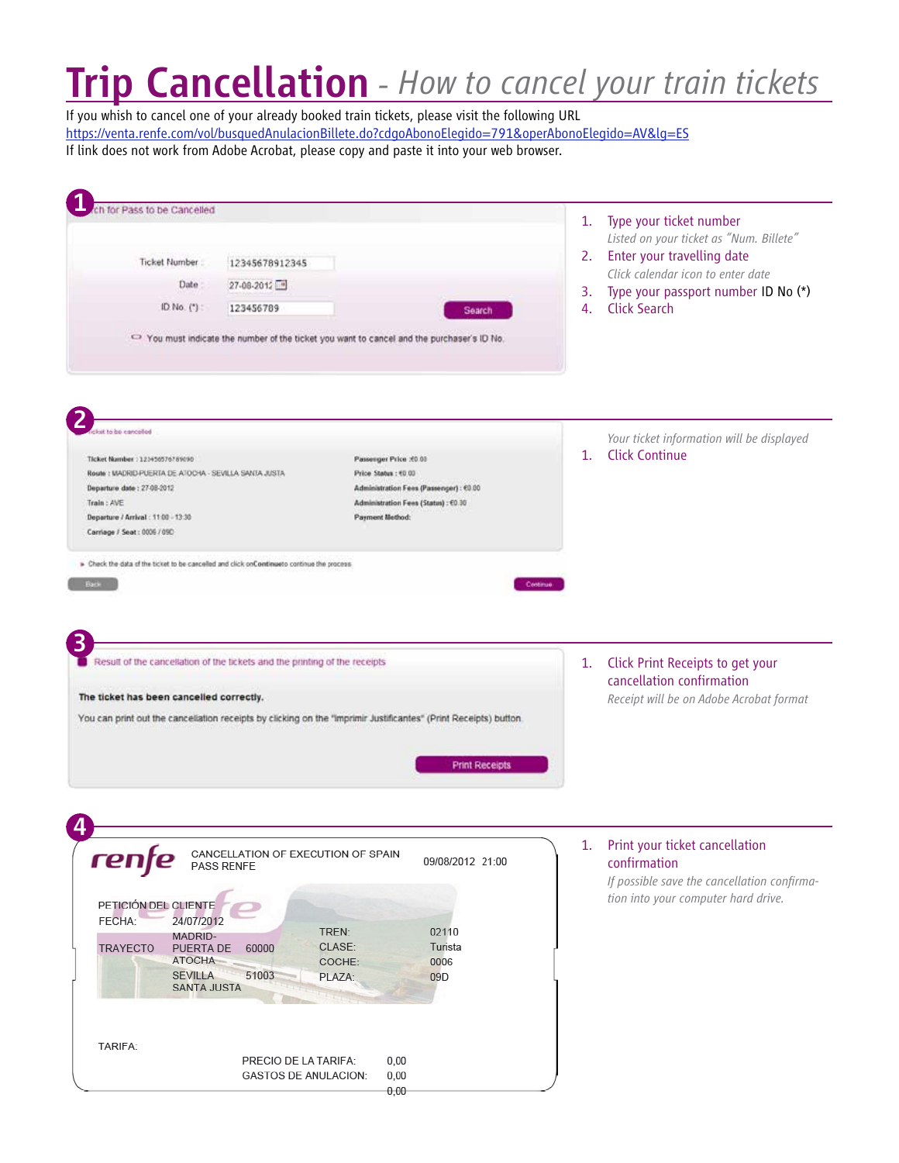# Trip Cancellation *- How to cancel your train tickets*

If you whish to cancel one of your already booked train tickets, please visit the following URL https://venta.renfe.com/vol/busquedAnulacionBillete.do?cdgoAbonoElegido=791&operAbonoElegido=AV&lg=ES If link does not work from Adobe Acrobat, please copy and paste it into your web browser.

| for Pass to be Cancelled                                                                   |                                                                                                                 | 1.       | Type your ticket number                                       |
|--------------------------------------------------------------------------------------------|-----------------------------------------------------------------------------------------------------------------|----------|---------------------------------------------------------------|
|                                                                                            |                                                                                                                 |          | Listed on your ticket as "Num. Billete"                       |
| Ticket Number<br>12345678912345                                                            |                                                                                                                 |          | 2. Enter your travelling date                                 |
| Date<br>27-08-2012                                                                         |                                                                                                                 |          | Click calendar icon to enter date                             |
|                                                                                            |                                                                                                                 | 3.       | Type your passport number ID No (*)                           |
| ID. No. (*) :<br>123456789                                                                 | Search                                                                                                          | 4.       | <b>Click Search</b>                                           |
|                                                                                            | ○ You must indicate the number of the ticket you want to cancel and the purchaser's ID No.                      |          |                                                               |
| to be earnested                                                                            |                                                                                                                 |          |                                                               |
|                                                                                            |                                                                                                                 |          | Your ticket information will be displayed                     |
| Ticket Number : 123456576789090                                                            | Passenger Price : 00.00                                                                                         | 1.       | <b>Click Continue</b>                                         |
| Route: MADRID-PUERTA DE ATOCHA - SEVILLA SANTA JUSTA                                       | Price Status : 60.00                                                                                            |          |                                                               |
| Departure date: 27-08-2012                                                                 | Administration Fees (Passenger) : €0.00                                                                         |          |                                                               |
| Train: AVE<br>Departure / Arrival : 11:00 - 13:30                                          | Administration Fees (Status): €0.00<br>Payment Method:                                                          |          |                                                               |
| Carriage / Seat: 0006 / 09D                                                                |                                                                                                                 |          |                                                               |
|                                                                                            |                                                                                                                 |          |                                                               |
| » Check the data of the ticket to be cancelled and click onContinueto continue the process |                                                                                                                 |          |                                                               |
| <b>Back</b>                                                                                |                                                                                                                 | Continue |                                                               |
|                                                                                            |                                                                                                                 |          |                                                               |
|                                                                                            |                                                                                                                 |          |                                                               |
|                                                                                            |                                                                                                                 |          |                                                               |
|                                                                                            |                                                                                                                 |          |                                                               |
| Result of the cancellation of the tickets and the printing of the receipts                 |                                                                                                                 | 1.       | Click Print Receipts to get your<br>cancellation confirmation |
| The ticket has been cancelled correctly.                                                   |                                                                                                                 |          |                                                               |
|                                                                                            |                                                                                                                 |          | Receipt will be on Adobe Acrobat format                       |
|                                                                                            | You can print out the canceliation receipts by clicking on the "imprimir Justificantes" (Print Receipts) button |          |                                                               |
|                                                                                            |                                                                                                                 |          |                                                               |
|                                                                                            |                                                                                                                 |          |                                                               |
|                                                                                            | <b>Print Receipts</b>                                                                                           |          |                                                               |
|                                                                                            |                                                                                                                 |          |                                                               |
|                                                                                            |                                                                                                                 |          |                                                               |
|                                                                                            |                                                                                                                 |          | 1. Print your ticket cancellation                             |
| ren<br>PASS RENFE                                                                          | CANCELLATION OF EXECUTION OF SPAIN<br>09/08/2012 21:00                                                          |          | confirmation                                                  |
|                                                                                            |                                                                                                                 |          | If possible save the cancellation confirma-                   |
|                                                                                            |                                                                                                                 |          | tion into your computer hard drive.                           |
| PETICIÓN DEL CLIENTE                                                                       |                                                                                                                 |          |                                                               |
| FECHA:<br>24/07/2012                                                                       | TREN:<br>02110                                                                                                  |          |                                                               |
| MADRID-                                                                                    | CLASE:                                                                                                          |          |                                                               |
| TRAYECTO<br>PUERTA DE<br>60000<br><b>ATOCHA</b>                                            | Turista<br>COCHE:<br>0006                                                                                       |          |                                                               |
| <b>SEVILLA</b><br>51003                                                                    | 09D<br>PLAZA:                                                                                                   |          |                                                               |
| <b>SANTA JUSTA</b>                                                                         |                                                                                                                 |          |                                                               |
|                                                                                            |                                                                                                                 |          |                                                               |
|                                                                                            |                                                                                                                 |          |                                                               |
|                                                                                            |                                                                                                                 |          |                                                               |
| TARIFA:                                                                                    |                                                                                                                 |          |                                                               |
|                                                                                            | PRECIO DE LA TARIFA:<br>0,00                                                                                    |          |                                                               |
|                                                                                            | <b>GASTOS DE ANULACION:</b><br>0,00                                                                             |          |                                                               |
|                                                                                            | $0.00 -$                                                                                                        |          |                                                               |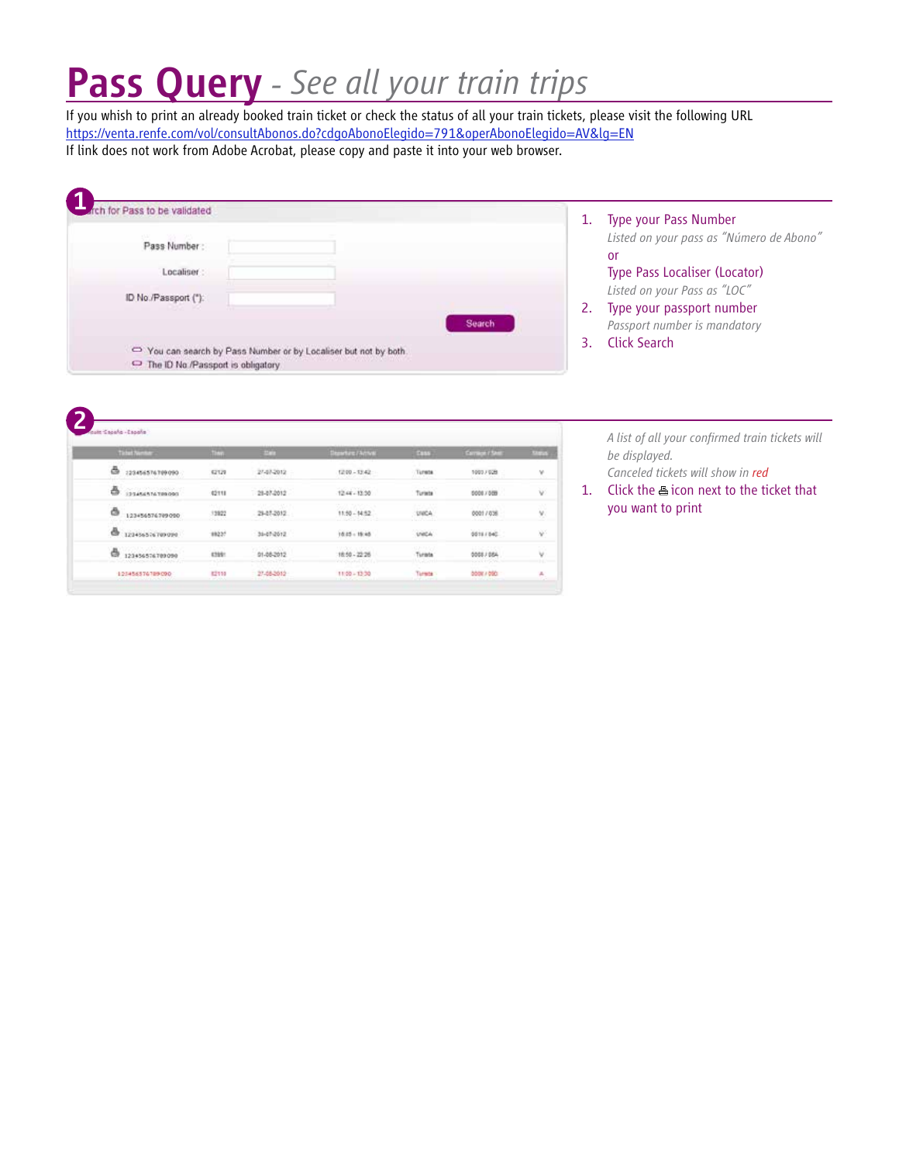# Pass Query *- See all your train trips*

If you whish to print an already booked train ticket or check the status of all your train tickets, please visit the following URL https://venta.renfe.com/vol/consultAbonos.do?cdgoAbonoElegido=791&operAbonoElegido=AV&lg=EN If link does not work from Adobe Acrobat, please copy and paste it into your web browser.

| h for Pass to be validated                                                                          |        | Type your Pass Number                                         |
|-----------------------------------------------------------------------------------------------------|--------|---------------------------------------------------------------|
| Pass Number:                                                                                        |        | Listed on your pass as "Número de Abono"<br><b>or</b>         |
| Localiser:                                                                                          |        | Type Pass Localiser (Locator)<br>Listed on your Pass as "LOC" |
| ID No./Passport ("):                                                                                | Search | Type your passport number<br>Passport number is mandatory     |
|                                                                                                     |        | Click Search                                                  |
| You can search by Pass Number or by Localiser but not by both.<br>The ID No./Passport is obligatory |        |                                                               |

| Ticket Number                                         | tive                       | <b>EMR</b>            | Standard Activity                                             | <b>ESSA</b>                 | <b>Correct / Seat</b>  | <b>Status</b> |
|-------------------------------------------------------|----------------------------|-----------------------|---------------------------------------------------------------|-----------------------------|------------------------|---------------|
| ā<br>123456576709090                                  | 62129                      | 27-07-2012            | $1210 - 13.42$                                                | Tureta                      | 10037028               | ٧             |
| <b>DOGETATATION</b><br>る                              | iéru.                      | 28-87-2012            | 1244-1330                                                     | .<br>Turists                | 00081009               | W.            |
| ð<br>123456576709090                                  | 1.177<br>13922             | ATLANTA<br>29-07-2012 | 11:50 - 14:52                                                 | <b>SALES</b><br><b>UNCA</b> | 00017838               | ý.            |
| ê.<br>120456576709090                                 | sago?                      | 31-07-2012            | 10.05 - 15:45                                                 | <b>USCA</b>                 | 30111140               | آلأ           |
| 123456576709090<br>ā                                  | cus:<br>$-11.1$            | 01-08-2012            | <b>CONTRACTOR</b><br>18:50 - 22:26                            | 42241655<br>Turata<br>100a  | 1110.000<br>0008 / 054 | ÿ.<br>04/00   |
| 123456376789090<br>and the product of the first state | <b>IT IS</b><br>82110<br>. | 27-08-2012            | 699441915<br>$11:50 - 13:30$<br>the family of all an analysis | Turnite<br>----             | 00061080               | 振             |

*A list of all your confirmed train tickets will be displayed.*

*Canceled tickets will show in red*

1. Click the  $\triangleq$  icon next to the ticket that you want to print